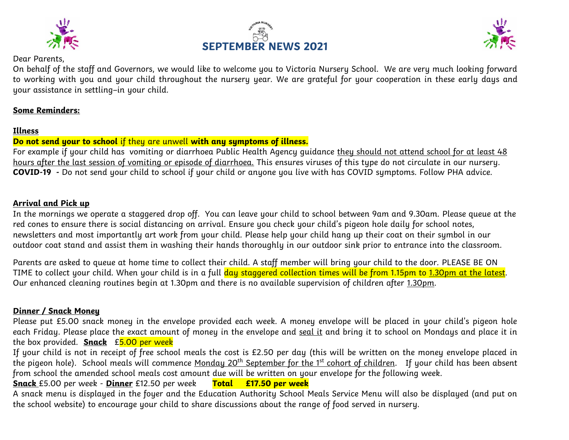





#### Dear Parents,

On behalf of the staff and Governors, we would like to welcome you to Victoria Nursery School. We are very much looking forward to working with you and your child throughout the nursery year. We are grateful for your cooperation in these early days and your assistance in settling–in your child.

## **Some Reminders:**

## **Illness**

## **Do not send your to school** if they are unwell **with any symptoms of illness.**

For example if your child hasvomiting or diarrhoea Public Health Agency guidance they should not attend school for at least 48 hours after the last session of vomiting or episode of diarrhoea. This ensures viruses of this tupe do not circulate in our nurseru. **COVID-19 -** Do not send your child to school if your child or anyone you live with has COVID symptoms. Follow PHA advice.

#### **Arrival and Pick up**

In the mornings we operate a staggered drop off. You can leave your child to school between 9am and 9.30am. Please queue at the red cones to ensure there is social distancing on arrival. Ensure you check your child's pigeon hole daily for school notes, newsletters and most importantly art work from your child. Please help your child hang up their coat on their symbol in our outdoor coat stand and assist them in washing their hands thoroughly in our outdoor sink prior to entrance into the classroom.

Parents are asked to queue at home time to collect their child. A staff member will bring your child to the door. PLEASE BE ON TIME to collect your child. When your child is in a full day staggered collection times will be from 1.15pm to 1.30pm at the latest. Our enhanced cleaning routines begin at 1.30pm and there is no available supervision of children after 1.30pm.

## **Dinner / Snack Money**

Please put £5.00 snack money in the envelope provided each week. A money envelope will be placed in your child's pigeon hole each Friday. Please place the exact amount of money in the envelope and seal it and bring it to school on Mondays and place it in the box provided. **Snack** £5.00 per week

If your child is not in receipt of free school meals the cost is £2.50 per day (this will be written on the money envelope placed in the pigeon hole). School meals will commence <u>Monday 20<sup>th</sup> September for the 1<sup>st</sup> cohort of children</u>. If your child has been absent from school the amended school meals cost amount due will be written on your envelope for the following week.

## **Snack** £5.00 per week - **Dinner** £12.50 per week **Total £17.50 per week**

A snack menu is displayed in the foyer and the Education Authority School Meals Service Menu will also be displayed (and put on the school website) to encourage your child to share discussions about the range of food served in nursery.